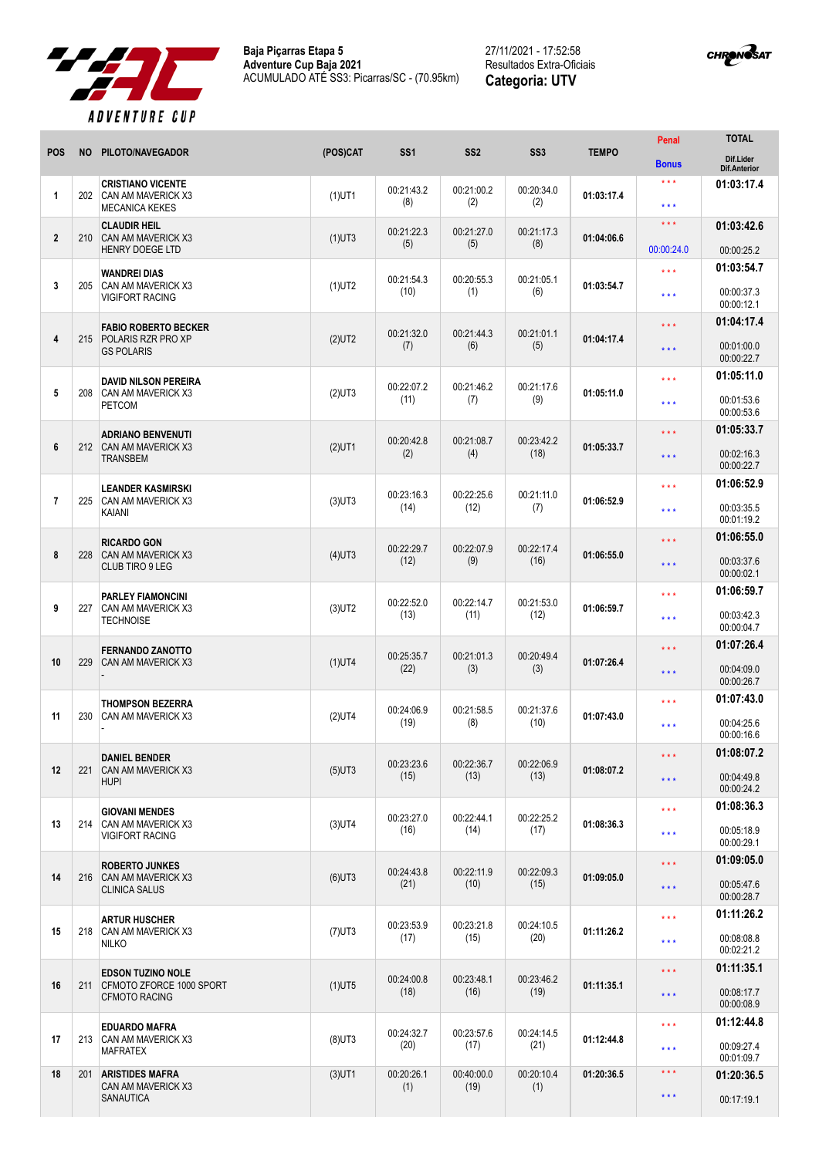



|                |           |                                                                              |           |                    |                    |                    |              | Penal                        | <b>TOTAL</b>                     |
|----------------|-----------|------------------------------------------------------------------------------|-----------|--------------------|--------------------|--------------------|--------------|------------------------------|----------------------------------|
| <b>POS</b>     | <b>NO</b> | PILOTO/NAVEGADOR                                                             | (POS)CAT  | SS <sub>1</sub>    | SS <sub>2</sub>    | SS <sub>3</sub>    | <b>TEMPO</b> | <b>Bonus</b>                 | Dif.Lider<br><b>Dif.Anterior</b> |
| $\mathbf{1}$   | 202       | <b>CRISTIANO VICENTE</b><br>CAN AM MAVERICK X3                               | $(1)$ UT1 | 00:21:43.2         | 00:21:00.2         | 00:20:34.0         | 01:03:17.4   | $***$                        | 01:03:17.4                       |
|                |           | <b>MECANICA KEKES</b>                                                        |           | (8)                | (2)                | (2)                |              | $***$<br>$\star \star \star$ |                                  |
| $\mathbf{2}$   | 210       | <b>CLAUDIR HEIL</b><br><b>CAN AM MAVERICK X3</b><br><b>HENRY DOEGE LTD</b>   | $(1)$ UT3 | 00:21:22.3<br>(5)  | 00:21:27.0<br>(5)  | 00:21:17.3<br>(8)  | 01:04:06.6   | 00:00:24.0                   | 01:03:42.6<br>00:00:25.2         |
|                |           | <b>WANDREI DIAS</b>                                                          |           | 00:21:54.3         | 00:20:55.3         | 00:21:05.1         |              | $***$                        | 01:03:54.7                       |
| 3              | 205       | CAN AM MAVERICK X3<br><b>VIGIFORT RACING</b>                                 | $(1)$ UT2 | (10)               | (1)                | (6)                | 01:03:54.7   | $***$                        | 00:00:37.3<br>00:00:12.1         |
|                |           | <b>FABIO ROBERTO BECKER</b>                                                  |           | 00:21:32.0         | 00:21:44.3         | 00:21:01.1         |              | $\star \star \star$          | 01:04:17.4                       |
| 4              |           | 215 POLARIS RZR PRO XP<br><b>GS POLARIS</b>                                  | $(2)$ UT2 | (7)                | (6)                | (5)                | 01:04:17.4   | $\star \star \star$          | 00:01:00.0<br>00:00:22.7         |
| 5              | 208       | <b>DAVID NILSON PEREIRA</b><br><b>CAN AM MAVERICK X3</b>                     | $(2)$ UT3 | 00:22:07.2         | 00:21:46.2         | 00:21:17.6         | 01:05:11.0   | $\star \star \star$          | 01:05:11.0                       |
|                |           | <b>PETCOM</b>                                                                |           | (11)               | (7)                | (9)                |              | $***$                        | 00:01:53.6<br>00:00:53.6         |
| 6              | 212       | <b>ADRIANO BENVENUTI</b><br>CAN AM MAVERICK X3<br><b>TRANSBEM</b>            | $(2)$ UT1 | 00:20:42.8<br>(2)  | 00:21:08.7<br>(4)  | 00:23:42.2<br>(18) | 01:05:33.7   | $\star \star \star$          | 01:05:33.7                       |
|                |           |                                                                              |           |                    |                    |                    |              | $\star \star \star$          | 00:02:16.3<br>00:00:22.7         |
|                |           | <b>LEANDER KASMIRSKI</b><br><b>CAN AM MAVERICK X3</b><br>KAIANI              | $(3)$ UT3 | 00:23:16.3         | 00:22:25.6         | 00:21:11.0<br>(7)  | 01:06:52.9   | $***$                        | 01:06:52.9                       |
| $\overline{7}$ | 225       |                                                                              |           | (14)               | (12)               |                    |              | $\star \star \star$          | 00:03:35.5<br>00:01:19.2         |
|                |           | <b>RICARDO GON</b><br><b>CAN AM MAVERICK X3</b><br><b>CLUB TIRO 9 LEG</b>    | $(4)$ UT3 | 00:22:29.7         | 00:22:07.9         | 00:22:17.4<br>(16) | 01:06:55.0   | $\star \star \star$          | 01:06:55.0                       |
| 8              | 228       |                                                                              |           | (12)               | (9)                |                    |              | $\star \star \star$          | 00:03:37.6<br>00:00:02.1         |
|                |           | <b>PARLEY FIAMONCINI</b><br>CAN AM MAVERICK X3<br><b>TECHNOISE</b>           | $(3)$ UT2 | 00:22:52.0         | 00:22:14.7<br>(11) | 00:21:53.0         | 01:06:59.7   | $***$                        | 01:06:59.7                       |
| 9              | 227       |                                                                              |           | (13)               |                    | (12)               |              | $***$                        | 00:03:42.3<br>00:00:04.7         |
|                |           | <b>FERNANDO ZANOTTO</b>                                                      |           | 00:25:35.7         | 00:21:01.3         | 00:20:49.4         |              | $\star \star \star$          | 01:07:26.4                       |
| 10             | 229       | <b>CAN AM MAVERICK X3</b>                                                    | $(1)$ UT4 | (22)               | (3)                | (3)                | 01:07:26.4   | $\star \star \star$          | 00:04:09.0<br>00:00:26.7         |
| 11             | 230       | <b>THOMPSON BEZERRA</b><br><b>CAN AM MAVERICK X3</b>                         | $(2)$ UT4 | 00:24:06.9         | 00:21:58.5         | 00:21:37.6         | 01:07:43.0   | $\star \star \star$          | 01:07:43.0                       |
|                |           |                                                                              |           | (19)               | (8)                | (10)               |              | $***$                        | 00:04:25.6<br>00:00:16.6         |
|                |           | <b>DANIEL BENDER</b>                                                         |           | 00:23:23.6         | 00:22:36.7         | 00:22:06.9         |              | $\star$ $\star$ $\star$      | 01:08:07.2                       |
| 12             | 221       | CAN AM MAVERICK X3<br><b>HUPI</b>                                            | $(5)$ UT3 | (15)               | (13)               | (13)               | 01:08:07.2   | $\star$ $\star$ $\star$      | 00:04:49.8<br>00:00:24.2         |
|                |           | <b>GIOVANI MENDES</b>                                                        |           | 00:23:27.0         | 00:22:44.1         | 00:22:25.2         |              | $\star$ $\star$ $\star$      | 01:08:36.3                       |
| 13             | 214       | CAN AM MAVERICK X3<br><b>VIGIFORT RACING</b>                                 | $(3)$ UT4 | (16)               | (14)               | (17)               | 01:08:36.3   | $\star$ $\star$ $\star$      | 00:05:18.9<br>00:00:29.1         |
|                |           | <b>ROBERTO JUNKES</b><br>216 CAN AM MAVERICK X3<br><b>CLINICA SALUS</b>      | $(6)$ UT3 | 00:24:43.8<br>(21) | 00:22:11.9<br>(10) | 00:22:09.3<br>(15) | 01:09:05.0   | $\star$ $\star$ $\star$      | 01:09:05.0                       |
| 14             |           |                                                                              |           |                    |                    |                    |              | $\star$ $\star$ $\star$      | 00:05:47.6<br>00:00:28.7         |
|                |           | <b>ARTUR HUSCHER</b>                                                         |           | 00:23:53.9         | 00:23:21.8         | 00:24:10.5         |              | $***$                        | 01:11:26.2                       |
| 15             | 218       | <b>CAN AM MAVERICK X3</b><br><b>NILKO</b>                                    | $(7)$ UT3 | (17)               | (15)               | (20)               | 01:11:26.2   | $\star \star \star$          | 00:08:08.8<br>00:02:21.2         |
|                | 211       | <b>EDSON TUZINO NOLE</b><br>CFMOTO ZFORCE 1000 SPORT<br><b>CFMOTO RACING</b> | $(1)$ UT5 | 00:24:00.8<br>(18) | 00:23:48.1<br>(16) | 00:23:46.2<br>(19) | 01:11:35.1   | $\star$ $\star$ $\star$      | 01:11:35.1                       |
| 16             |           |                                                                              |           |                    |                    |                    |              | $\star$ $\star$ $\star$      | 00:08:17.7<br>00:00:08.9         |
|                |           | <b>EDUARDO MAFRA</b>                                                         |           | 00:24:32.7         | 00:23:57.6         | 00:24:14.5         |              | $\star$ $\star$ $\star$      | 01:12:44.8                       |
| 17             | 213       | <b>CAN AM MAVERICK X3</b><br><b>MAFRATEX</b>                                 | $(8)$ UT3 | (20)               | (17)               | (21)               | 01:12:44.8   | $\star$ $\star$ $\star$      | 00:09:27.4<br>00:01:09.7         |
| 18             | 201       | <b>ARISTIDES MAFRA</b><br>CAN AM MAVERICK X3                                 | $(3)$ UT1 | 00:20:26.1<br>(1)  | 00:40:00.0<br>(19) | 00:20:10.4<br>(1)  | 01:20:36.5   | $\star$ $\star$ $\star$      | 01:20:36.5                       |
|                |           | SANAUTICA                                                                    |           |                    |                    |                    |              | $\star$ $\star$ $\star$      | 00:17:19.1                       |